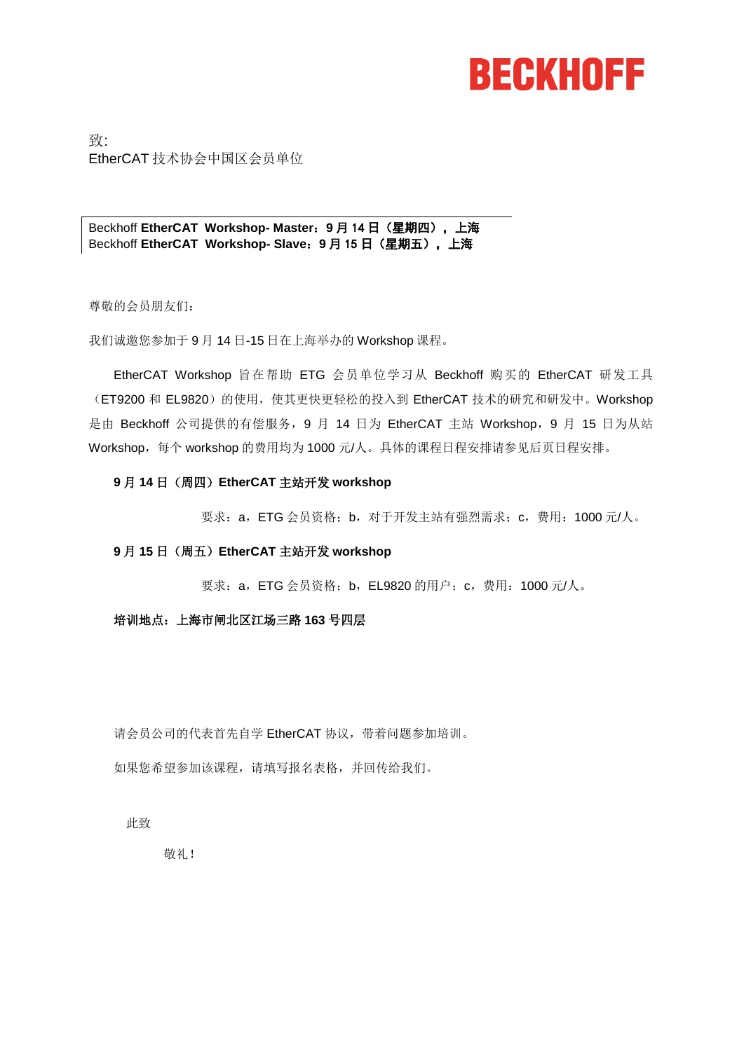# **BECKHOFF**

致: EtherCAT 技术协会中国区会员单位

Beckhoff **EtherCAT Workshop- Master**:**9** 月 14 日(星期四),上海 Beckhoff **EtherCAT Workshop- Slave**:**9** 月 15 日(星期五),上海

尊敬的会员朋友们:

我们诚邀您参加于 9 月 14 日-15 日在上海举办的 Workshop 课程。

EtherCAT Workshop 旨在帮助 ETG 会员单位学习从 Beckhoff 购买的 EtherCAT 研发工具 (ET9200 和 EL9820)的使用, 使其更快更轻松的投入到 EtherCAT 技术的研究和研发中。Workshop 是由 Beckhoff 公司提供的有偿服务, 9 月 14 日为 EtherCAT 主站 Workshop, 9 月 15 日为从站 Workshop,每个 workshop 的费用均为 1000 元/人。具体的课程日程安排请参见后页日程安排。

#### **9** 月 **14** 日(周四)**EtherCAT** 主站开发 **workshop**

要求:a,ETG 会员资格;b,对于开发主站有强烈需求;c,费用:1000 元/人。

#### **9** 月 **15** 日(周五)**EtherCAT** 主站开发 **workshop**

要求:a,ETG 会员资格;b,EL9820 的用户;c,费用:1000 元/人。

#### 培训地点:上海市闸北区江场三路 **163** 号四层

请会员公司的代表首先自学 EtherCAT 协议,带着问题参加培训。

如果您希望参加该课程,请填写报名表格,并回传给我们。

此致

敬礼!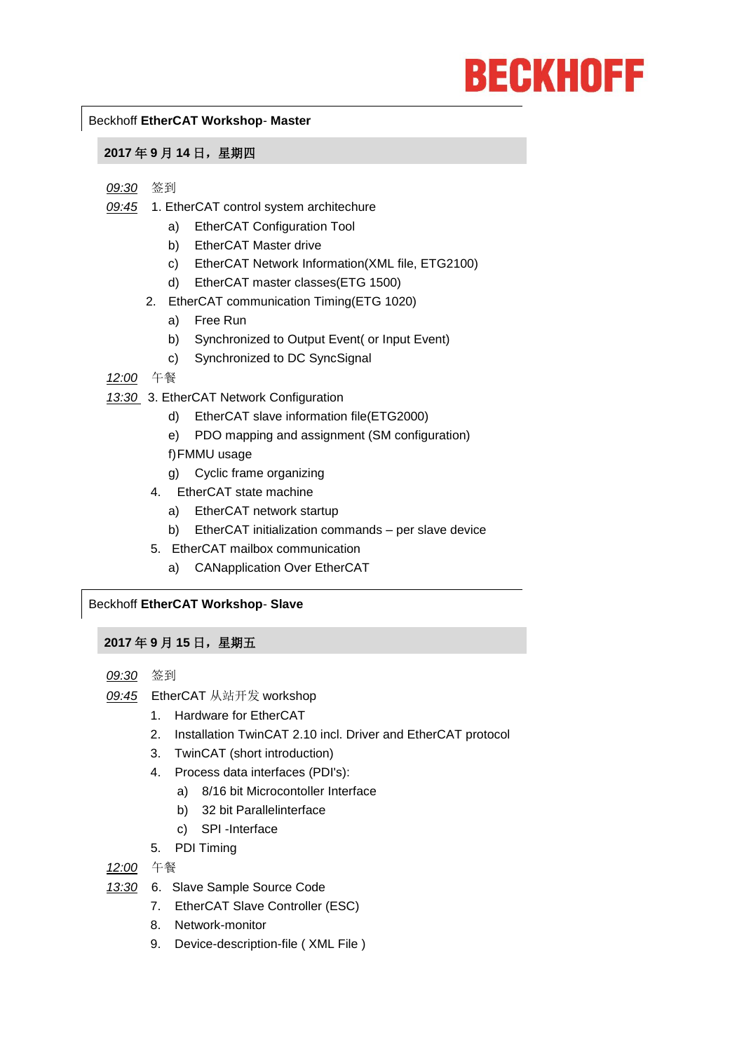# **BECKHOFF**

#### Beckhoff **EtherCAT Workshop**- **Master**

#### **2017** 年 **9** 月 **14** 日,星期四

- *09:30* 签到
- *09:45* 1. EtherCAT control system architechure
	- a) EtherCAT Configuration Tool
	- b) EtherCAT Master drive
	- c) EtherCAT Network Information(XML file, ETG2100)
	- d) EtherCAT master classes(ETG 1500)
	- 2. EtherCAT communication Timing(ETG 1020)
		- a) Free Run
		- b) Synchronized to Output Event( or Input Event)
		- c) Synchronized to DC SyncSignal
- *12:00* 午餐
- *13:30* 3. EtherCAT Network Configuration
	- d) EtherCAT slave information file(ETG2000)
	- e) PDO mapping and assignment (SM configuration)
	- f)FMMU usage
	- g) Cyclic frame organizing
	- 4. EtherCAT state machine
		- a) EtherCAT network startup
		- b) EtherCAT initialization commands per slave device
	- 5. EtherCAT mailbox communication
		- a) CANapplication Over EtherCAT

#### Beckhoff **EtherCAT Workshop**- **Slave**

#### **2017** 年 **9** 月 **15** 日,星期五

- *09:30* 签到
- *09:45* EtherCAT 从站开发 workshop
	- 1. Hardware for EtherCAT
	- 2. Installation TwinCAT 2.10 incl. Driver and EtherCAT protocol
	- 3. TwinCAT (short introduction)
	- 4. Process data interfaces (PDI's):
		- a) 8/16 bit Microcontoller Interface
		- b) 32 bit Parallelinterface
		- c) SPI -Interface
	- 5. PDI Timing

*12:00* 午餐

- *13:30* 6. Slave Sample Source Code
	- 7. EtherCAT Slave Controller (ESC)
	- 8. Network-monitor
	- 9. Device-description-file ( XML File )